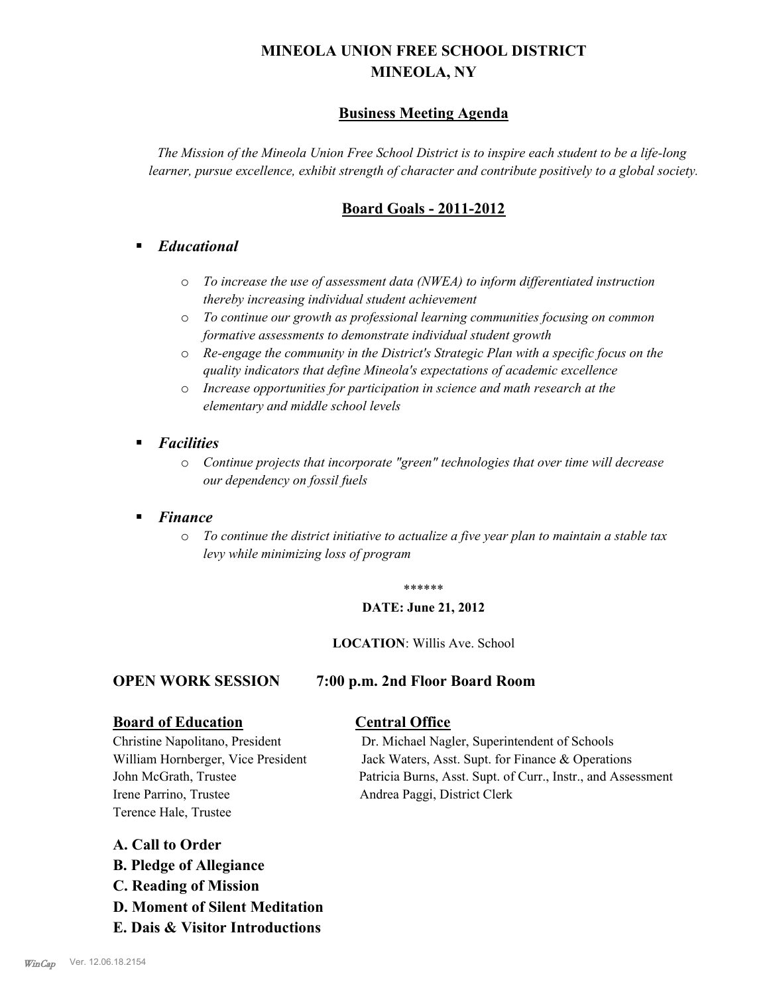# **MINEOLA UNION FREE SCHOOL DISTRICT MINEOLA, NY**

# **Business Meeting Agenda**

*The Mission of the Mineola Union Free School District is to inspire each student to be a life-long learner, pursue excellence, exhibit strength of character and contribute positively to a global society.*

# **Board Goals - 2011-2012**

# § *Educational*

- o *To increase the use of assessment data (NWEA) to inform differentiated instruction thereby increasing individual student achievement*
- o *To continue our growth as professional learning communities focusing on common formative assessments to demonstrate individual student growth*
- o *Re-engage the community in the District's Strategic Plan with a specific focus on the quality indicators that define Mineola's expectations of academic excellence*
- o *Increase opportunities for participation in science and math research at the elementary and middle school levels*
- *Facilities* 
	- o *Continue projects that incorporate "green" technologies that over time will decrease our dependency on fossil fuels*
- § *Finance*
	- o *To continue the district initiative to actualize a five year plan to maintain a stable tax levy while minimizing loss of program*

#### \*\*\*\*\*\*

#### **DATE: June 21, 2012**

#### **LOCATION**: Willis Ave. School

# **OPEN WORK SESSION 7:00 p.m. 2nd Floor Board Room**

#### **Board of Education Central Office**

Irene Parrino, Trustee Andrea Paggi, District Clerk Terence Hale, Trustee

Christine Napolitano, President Dr. Michael Nagler, Superintendent of Schools William Hornberger, Vice President Jack Waters, Asst. Supt. for Finance & Operations John McGrath, Trustee Patricia Burns, Asst. Supt. of Curr., Instr., and Assessment

# **A. Call to Order**

- **B. Pledge of Allegiance**
- **C. Reading of Mission**
- **D. Moment of Silent Meditation**
- **E. Dais & Visitor Introductions**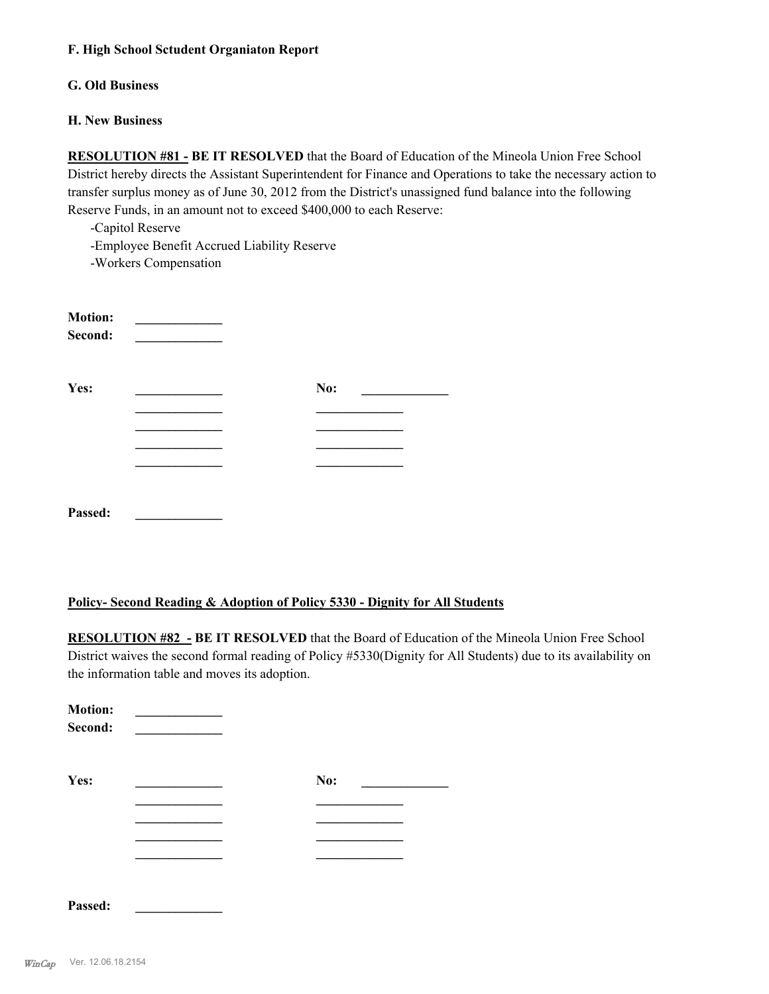#### **F. High School Sctudent Organiaton Report**

#### **G. Old Business**

#### **H. New Business**

**RESOLUTION #81 - BE IT RESOLVED** that the Board of Education of the Mineola Union Free School District hereby directs the Assistant Superintendent for Finance and Operations to take the necessary action to transfer surplus money as of June 30, 2012 from the District's unassigned fund balance into the following Reserve Funds, in an amount not to exceed \$400,000 to each Reserve:

-Capitol Reserve

-Employee Benefit Accrued Liability Reserve

-Workers Compensation

| <b>Motion:</b><br>Second: |     |  |
|---------------------------|-----|--|
| Yes:                      | No: |  |
|                           |     |  |
|                           |     |  |
|                           |     |  |
| Passed:                   |     |  |

# **Policy- Second Reading & Adoption of Policy 5330 - Dignity for All Students**

**RESOLUTION #82 - BE IT RESOLVED** that the Board of Education of the Mineola Union Free School District waives the second formal reading of Policy #5330(Dignity for All Students) due to its availability on the information table and moves its adoption.

| <b>Motion:</b><br>Second: |     |  |
|---------------------------|-----|--|
| Yes:                      | No: |  |
|                           |     |  |
|                           |     |  |
|                           |     |  |
|                           |     |  |
|                           |     |  |
| Passed:                   |     |  |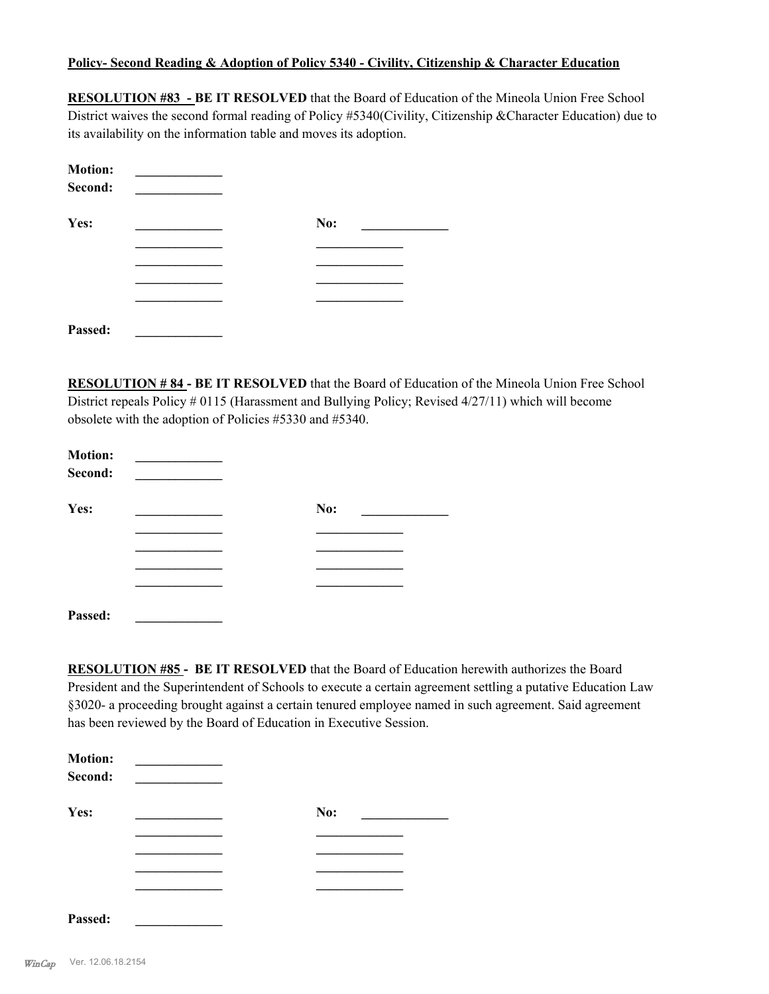#### **Policy- Second Reading & Adoption of Policy 5340 - Civility, Citizenship & Character Education**

**RESOLUTION #83 - BE IT RESOLVED** that the Board of Education of the Mineola Union Free School District waives the second formal reading of Policy #5340(Civility, Citizenship &Character Education) due to its availability on the information table and moves its adoption.

| <b>Motion:</b><br>Second: |     |
|---------------------------|-----|
| Yes:                      | No: |
|                           |     |
|                           |     |
|                           |     |
|                           |     |
| Passed:                   |     |

**RESOLUTION # 84 - BE IT RESOLVED** that the Board of Education of the Mineola Union Free School District repeals Policy # 0115 (Harassment and Bullying Policy; Revised 4/27/11) which will become obsolete with the adoption of Policies #5330 and #5340.

| <b>Motion:</b><br>Second: | <u> 1999 - Jan Jawa</u> |     |
|---------------------------|-------------------------|-----|
| Yes:                      |                         | No: |
|                           |                         |     |
|                           |                         |     |
|                           |                         |     |
| Passed:                   |                         |     |

**RESOLUTION #85 - BE IT RESOLVED** that the Board of Education herewith authorizes the Board President and the Superintendent of Schools to execute a certain agreement settling a putative Education Law §3020- a proceeding brought against a certain tenured employee named in such agreement. Said agreement has been reviewed by the Board of Education in Executive Session.

| <b>Motion:</b><br>Second: |     |
|---------------------------|-----|
| Yes:                      | No: |
|                           |     |
|                           |     |
|                           |     |
|                           |     |
| Passed:                   |     |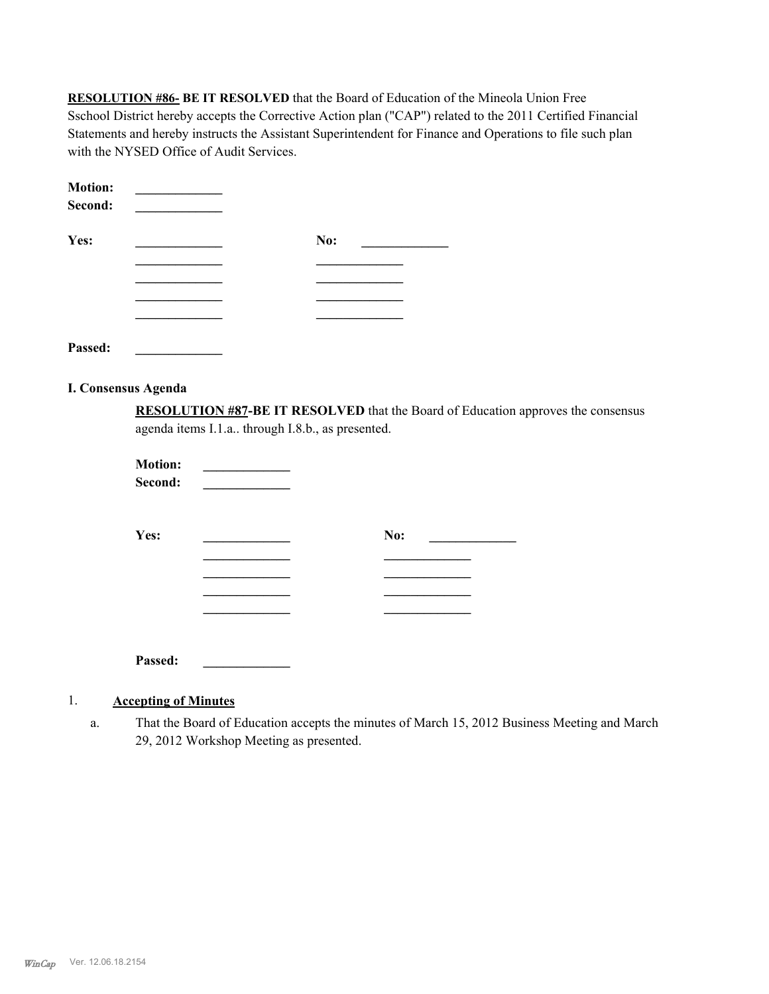**RESOLUTION #86- BE IT RESOLVED** that the Board of Education of the Mineola Union Free Sschool District hereby accepts the Corrective Action plan ("CAP") related to the 2011 Certified Financial Statements and hereby instructs the Assistant Superintendent for Finance and Operations to file such plan with the NYSED Office of Audit Services.

| <b>Motion:</b><br>Second: |     |  |
|---------------------------|-----|--|
| Yes:                      | No: |  |
|                           |     |  |
|                           |     |  |
|                           |     |  |
|                           |     |  |

**Passed: \_\_\_\_\_\_\_\_\_\_\_\_\_**

#### **I. Consensus Agenda**

**RESOLUTION #87-BE IT RESOLVED** that the Board of Education approves the consensus agenda items I.1.a.. through I.8.b., as presented.

| <b>Motion:</b><br>Second: |  |     |  |
|---------------------------|--|-----|--|
| Yes:                      |  | No: |  |
|                           |  |     |  |
|                           |  |     |  |
|                           |  |     |  |
|                           |  |     |  |

**Passed: \_\_\_\_\_\_\_\_\_\_\_\_\_**

# 1. **Accepting of Minutes**

That the Board of Education accepts the minutes of March 15, 2012 Business Meeting and March 29, 2012 Workshop Meeting as presented. a.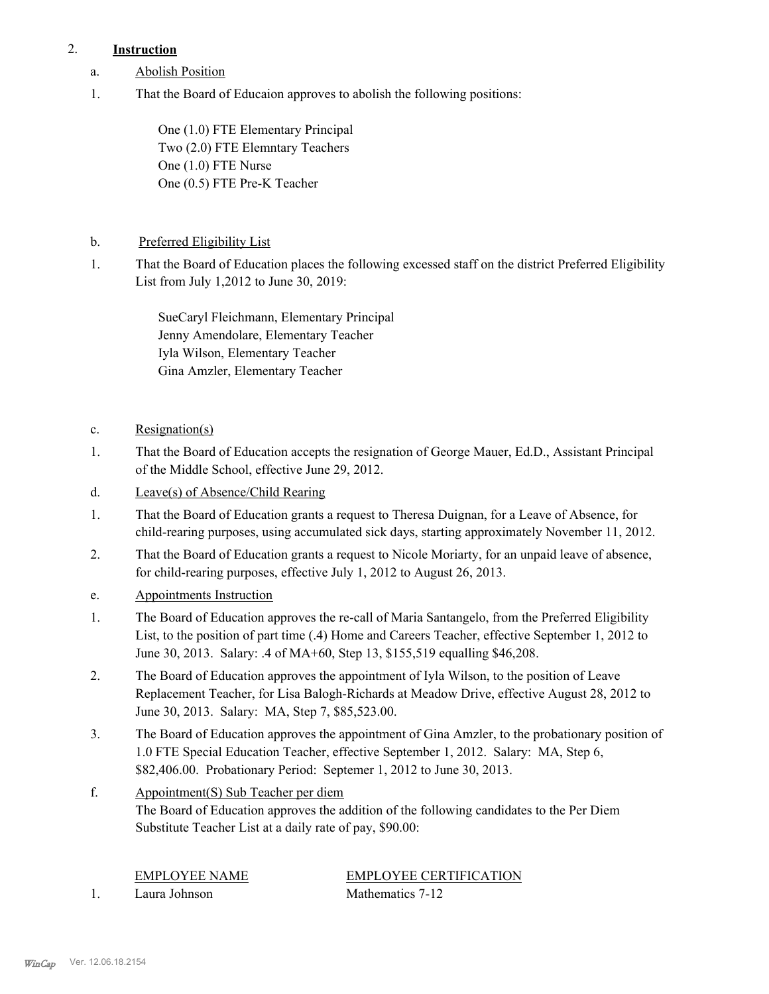# 2. **Instruction**

- a. Abolish Position
- That the Board of Educaion approves to abolish the following positions: 1.

One (1.0) FTE Elementary Principal Two (2.0) FTE Elemntary Teachers One (1.0) FTE Nurse One (0.5) FTE Pre-K Teacher

- b. Preferred Eligibility List
- That the Board of Education places the following excessed staff on the district Preferred Eligibility List from July 1,2012 to June 30, 2019: 1.

SueCaryl Fleichmann, Elementary Principal Jenny Amendolare, Elementary Teacher Iyla Wilson, Elementary Teacher Gina Amzler, Elementary Teacher

- c. Resignation(s)
- That the Board of Education accepts the resignation of George Mauer, Ed.D., Assistant Principal of the Middle School, effective June 29, 2012. 1.
- d. Leave(s) of Absence/Child Rearing
- That the Board of Education grants a request to Theresa Duignan, for a Leave of Absence, for child-rearing purposes, using accumulated sick days, starting approximately November 11, 2012. 1.
- That the Board of Education grants a request to Nicole Moriarty, for an unpaid leave of absence, for child-rearing purposes, effective July 1, 2012 to August 26, 2013. 2.
- e. Appointments Instruction
- The Board of Education approves the re-call of Maria Santangelo, from the Preferred Eligibility List, to the position of part time (.4) Home and Careers Teacher, effective September 1, 2012 to June 30, 2013. Salary: .4 of MA+60, Step 13, \$155,519 equalling \$46,208. 1.
- The Board of Education approves the appointment of Iyla Wilson, to the position of Leave Replacement Teacher, for Lisa Balogh-Richards at Meadow Drive, effective August 28, 2012 to June 30, 2013. Salary: MA, Step 7, \$85,523.00. 2.
- The Board of Education approves the appointment of Gina Amzler, to the probationary position of 1.0 FTE Special Education Teacher, effective September 1, 2012. Salary: MA, Step 6, \$82,406.00. Probationary Period: Septemer 1, 2012 to June 30, 2013. 3.
- Appointment(S) Sub Teacher per diem The Board of Education approves the addition of the following candidates to the Per Diem Substitute Teacher List at a daily rate of pay, \$90.00: f.

EMPLOYEE NAME EMPLOYEE CERTIFICATION 1. Laura Johnson Mathematics 7-12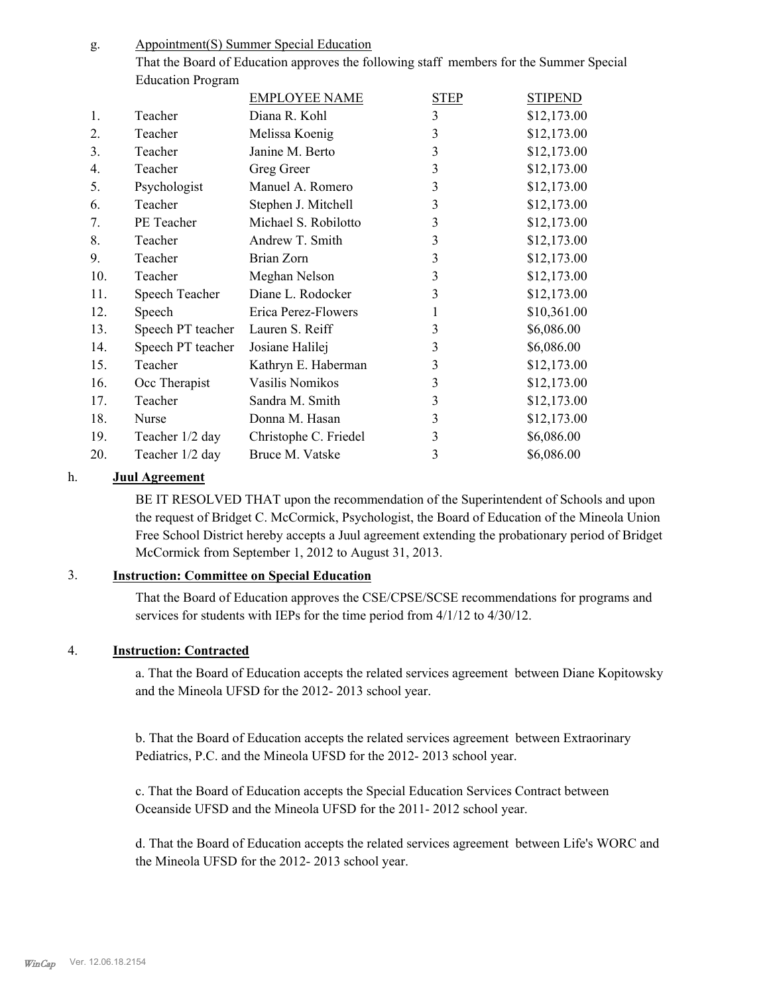Appointment(S) Summer Special Education g.

> That the Board of Education approves the following staff members for the Summer Special Education Program

|     |                   | <b>EMPLOYEE NAME</b>  | <b>STEP</b> | <b>STIPEND</b> |
|-----|-------------------|-----------------------|-------------|----------------|
| 1.  | Teacher           | Diana R. Kohl         | 3           | \$12,173.00    |
| 2.  | Teacher           | Melissa Koenig        | 3           | \$12,173.00    |
| 3.  | Teacher           | Janine M. Berto       | 3           | \$12,173.00    |
| 4.  | Teacher           | Greg Greer            | 3           | \$12,173.00    |
| 5.  | Psychologist      | Manuel A. Romero      | 3           | \$12,173.00    |
| 6.  | Teacher           | Stephen J. Mitchell   | 3           | \$12,173.00    |
| 7.  | PE Teacher        | Michael S. Robilotto  | 3           | \$12,173.00    |
| 8.  | Teacher           | Andrew T. Smith       | 3           | \$12,173.00    |
| 9.  | Teacher           | Brian Zorn            | 3           | \$12,173.00    |
| 10. | Teacher           | Meghan Nelson         | 3           | \$12,173.00    |
| 11. | Speech Teacher    | Diane L. Rodocker     | 3           | \$12,173.00    |
| 12. | Speech            | Erica Perez-Flowers   | 1           | \$10,361.00    |
| 13. | Speech PT teacher | Lauren S. Reiff       | 3           | \$6,086.00     |
| 14. | Speech PT teacher | Josiane Halilej       | 3           | \$6,086.00     |
| 15. | Teacher           | Kathryn E. Haberman   | 3           | \$12,173.00    |
| 16. | Occ Therapist     | Vasilis Nomikos       | 3           | \$12,173.00    |
| 17. | Teacher           | Sandra M. Smith       | 3           | \$12,173.00    |
| 18. | Nurse             | Donna M. Hasan        | 3           | \$12,173.00    |
| 19. | Teacher 1/2 day   | Christophe C. Friedel | 3           | \$6,086.00     |
| 20. | Teacher 1/2 day   | Bruce M. Vatske       | 3           | \$6,086.00     |

# h. **Juul Agreement**

BE IT RESOLVED THAT upon the recommendation of the Superintendent of Schools and upon the request of Bridget C. McCormick, Psychologist, the Board of Education of the Mineola Union Free School District hereby accepts a Juul agreement extending the probationary period of Bridget McCormick from September 1, 2012 to August 31, 2013.

# 3. **Instruction: Committee on Special Education**

That the Board of Education approves the CSE/CPSE/SCSE recommendations for programs and services for students with IEPs for the time period from 4/1/12 to 4/30/12.

# 4. **Instruction: Contracted**

a. That the Board of Education accepts the related services agreement between Diane Kopitowsky and the Mineola UFSD for the 2012- 2013 school year.

b. That the Board of Education accepts the related services agreement between Extraorinary Pediatrics, P.C. and the Mineola UFSD for the 2012- 2013 school year.

c. That the Board of Education accepts the Special Education Services Contract between Oceanside UFSD and the Mineola UFSD for the 2011- 2012 school year.

d. That the Board of Education accepts the related services agreement between Life's WORC and the Mineola UFSD for the 2012- 2013 school year.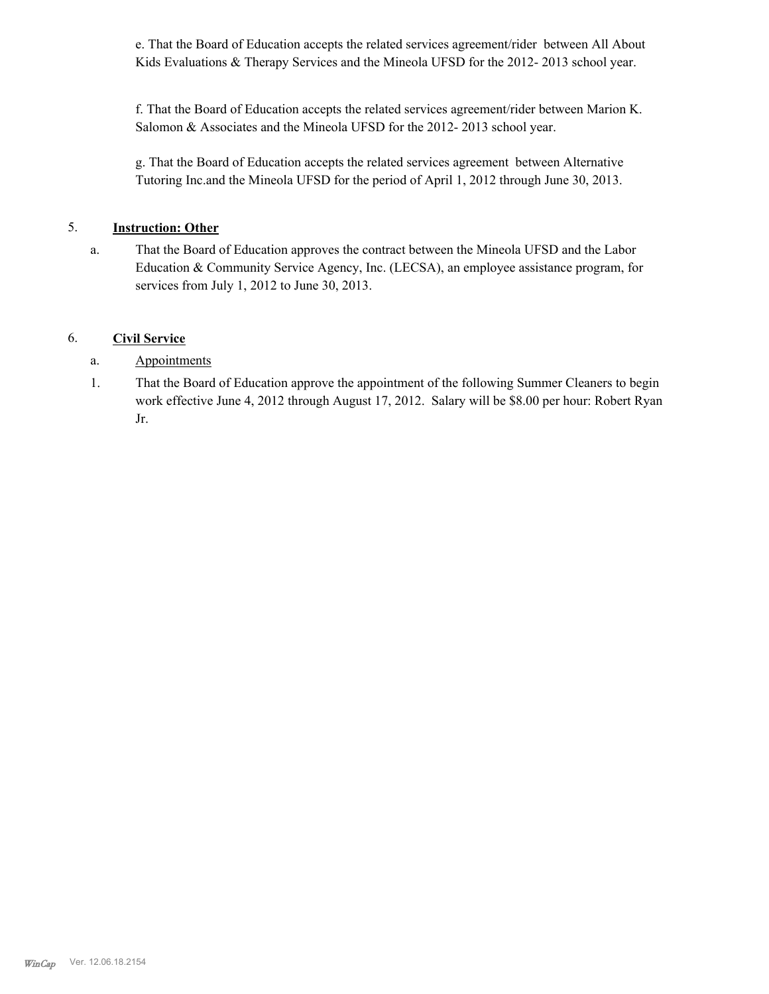e. That the Board of Education accepts the related services agreement/rider between All About Kids Evaluations & Therapy Services and the Mineola UFSD for the 2012-2013 school year.

f. That the Board of Education accepts the related services agreement/rider between Marion K. Salomon & Associates and the Mineola UFSD for the 2012- 2013 school year.

g. That the Board of Education accepts the related services agreement between Alternative Tutoring Inc.and the Mineola UFSD for the period of April 1, 2012 through June 30, 2013.

# 5. **Instruction: Other**

That the Board of Education approves the contract between the Mineola UFSD and the Labor Education & Community Service Agency, Inc. (LECSA), an employee assistance program, for services from July 1, 2012 to June 30, 2013. a.

# 6. **Civil Service**

- a. Appointments
- That the Board of Education approve the appointment of the following Summer Cleaners to begin work effective June 4, 2012 through August 17, 2012. Salary will be \$8.00 per hour: Robert Ryan Jr. 1.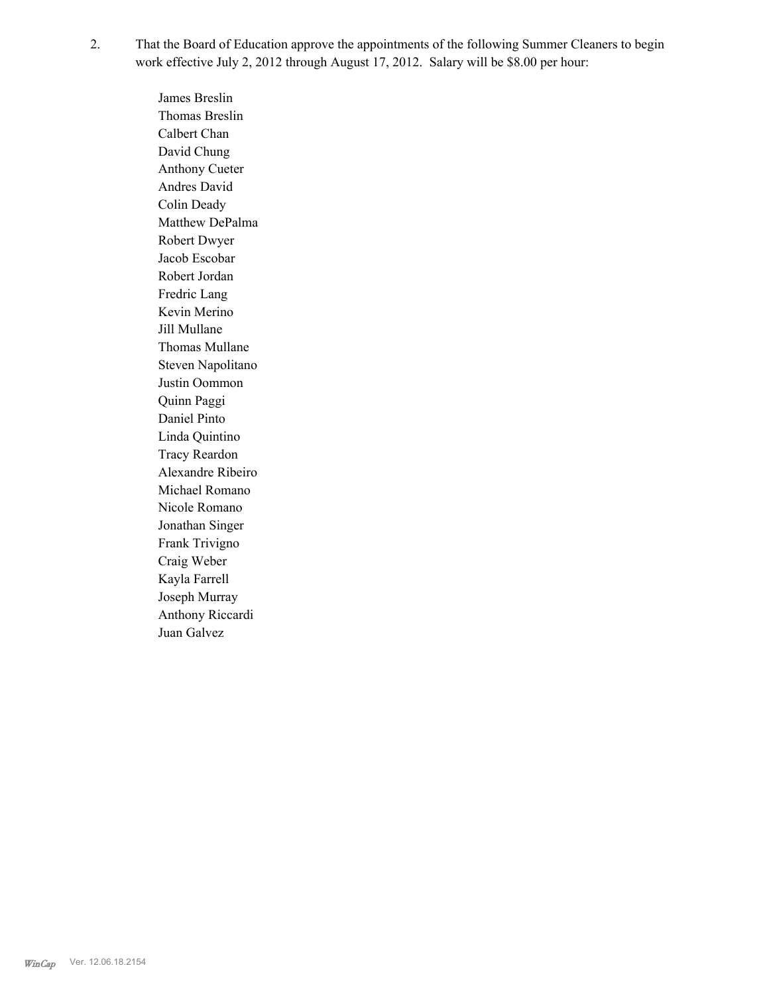That the Board of Education approve the appointments of the following Summer Cleaners to begin work effective July 2, 2012 through August 17, 2012. Salary will be \$8.00 per hour: 2.

> James Breslin Thomas Breslin Calbert Chan David Chung Anthony Cueter Andres David Colin Deady Matthew DePalma Robert Dwyer Jacob Escobar Robert Jordan Fredric Lang Kevin Merino Jill Mullane Thomas Mullane Steven Napolitano Justin Oommon Quinn Paggi Daniel Pinto Linda Quintino Tracy Reardon Alexandre Ribeiro Michael Romano Nicole Romano Jonathan Singer Frank Trivigno Craig Weber Kayla Farrell Joseph Murray Anthony Riccardi Juan Galvez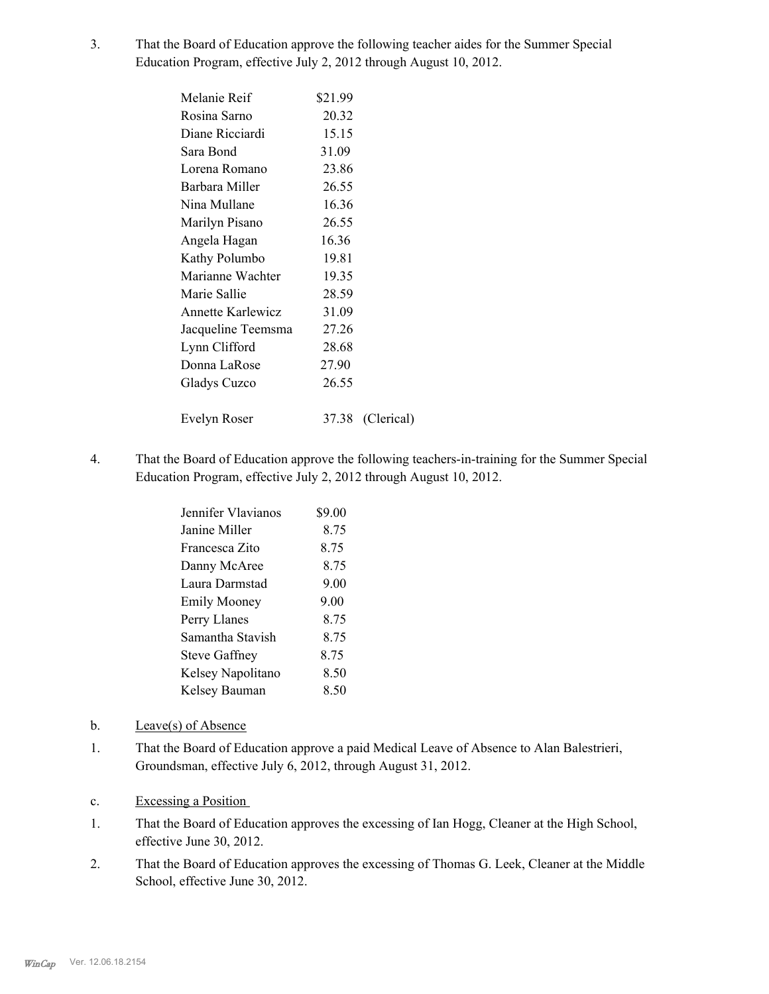That the Board of Education approve the following teacher aides for the Summer Special Education Program, effective July 2, 2012 through August 10, 2012. 3.

| Melanie Reif             | \$21.99 |                  |
|--------------------------|---------|------------------|
| Rosina Sarno             | 20.32   |                  |
| Diane Ricciardi          | 15.15   |                  |
| Sara Bond                | 31.09   |                  |
| Lorena Romano            | 23.86   |                  |
| Barbara Miller           | 26.55   |                  |
| Nina Mullane             | 16.36   |                  |
| Marilyn Pisano           | 26.55   |                  |
| Angela Hagan             | 16.36   |                  |
| Kathy Polumbo            | 19.81   |                  |
| Marianne Wachter         | 19.35   |                  |
| Marie Sallie             | 28.59   |                  |
| <b>Annette Karlewicz</b> | 31.09   |                  |
| Jacqueline Teemsma       | 27.26   |                  |
| Lynn Clifford            | 28.68   |                  |
| Donna LaRose             | 27.90   |                  |
| Gladys Cuzco             | 26.55   |                  |
|                          |         |                  |
| Evelyn Roser             |         | 37.38 (Clerical) |

That the Board of Education approve the following teachers-in-training for the Summer Special Education Program, effective July 2, 2012 through August 10, 2012. 4.

| Jennifer Vlavianos   | \$9.00 |
|----------------------|--------|
| Janine Miller        | 8.75   |
| Francesca Zito       | 8 75   |
| Danny McAree         | 8.75   |
| Laura Darmstad       | 9.00   |
| <b>Emily Mooney</b>  | 9.00   |
| Perry Llanes         | 8.75   |
| Samantha Stavish     | 8 75   |
| <b>Steve Gaffney</b> | 8.75   |
| Kelsey Napolitano    | 8.50   |
| Kelsey Bauman        | 8.50   |
|                      |        |

- b. Leave(s) of Absence
- That the Board of Education approve a paid Medical Leave of Absence to Alan Balestrieri, Groundsman, effective July 6, 2012, through August 31, 2012. 1.
- c. Excessing a Position
- That the Board of Education approves the excessing of Ian Hogg, Cleaner at the High School, effective June 30, 2012. 1.
- That the Board of Education approves the excessing of Thomas G. Leek, Cleaner at the Middle School, effective June 30, 2012. 2.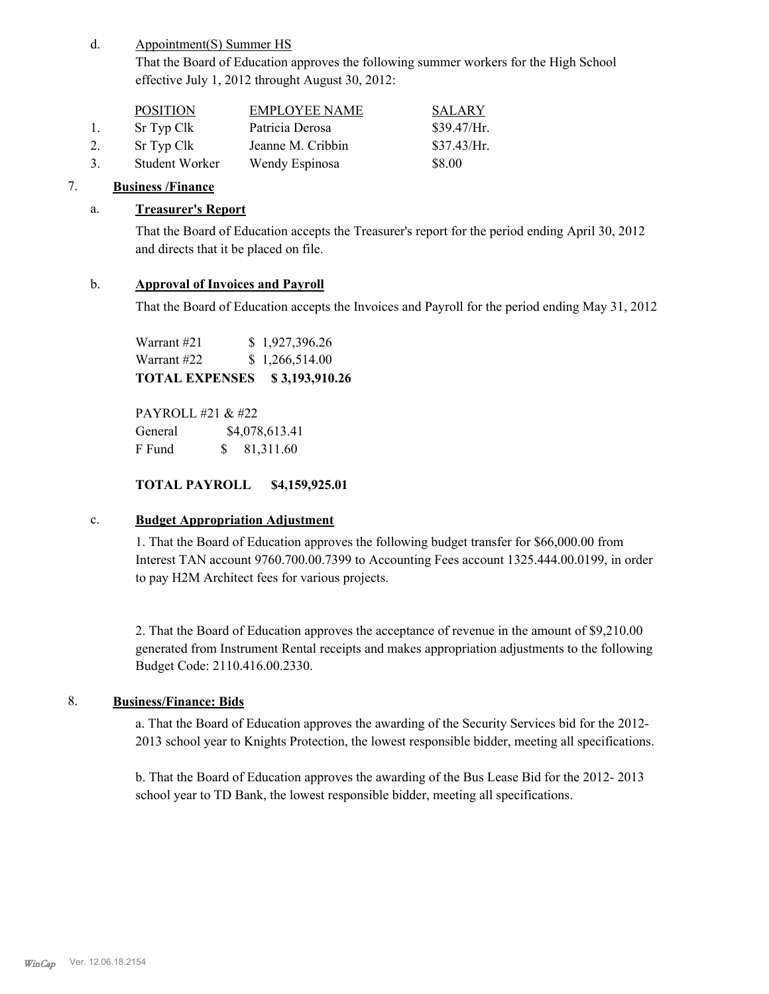#### Appointment(S) Summer HS d.

That the Board of Education approves the following summer workers for the High School effective July 1, 2012 throught August 30, 2012:

|               | <b>POSITION</b> | <b>EMPLOYEE NAME</b> | <b>SALARY</b> |
|---------------|-----------------|----------------------|---------------|
| $\mathbf{L}$  | Sr Typ Clk      | Patricia Derosa      | \$39.47/Hr.   |
| 2.            | Sr Typ Clk      | Jeanne M. Cribbin    | \$37.43/Hr.   |
| $\mathcal{R}$ | Student Worker  | Wendy Espinosa       | \$8.00        |

# 7. **Business /Finance**

# a. **Treasurer's Report**

That the Board of Education accepts the Treasurer's report for the period ending April 30, 2012 and directs that it be placed on file.

# b. **Approval of Invoices and Payroll**

That the Board of Education accepts the Invoices and Payroll for the period ending May 31, 2012

Warrant #21 \$ 1,927,396.26 Warrant #22 \$ 1,266,514.00 **TOTAL EXPENSES \$ 3,193,910.26**

PAYROLL #21 & #22 General  $$4,078,613.41$ F Fund \$ 81,311.60

# **TOTAL PAYROLL \$4,159,925.01**

# c. **Budget Appropriation Adjustment**

1. That the Board of Education approves the following budget transfer for \$66,000.00 from Interest TAN account 9760.700.00.7399 to Accounting Fees account 1325.444.00.0199, in order to pay H2M Architect fees for various projects.

2. That the Board of Education approves the acceptance of revenue in the amount of \$9,210.00 generated from Instrument Rental receipts and makes appropriation adjustments to the following Budget Code: 2110.416.00.2330.

# 8. **Business/Finance: Bids**

a. That the Board of Education approves the awarding of the Security Services bid for the 2012- 2013 school year to Knights Protection, the lowest responsible bidder, meeting all specifications.

b. That the Board of Education approves the awarding of the Bus Lease Bid for the 2012- 2013 school year to TD Bank, the lowest responsible bidder, meeting all specifications.